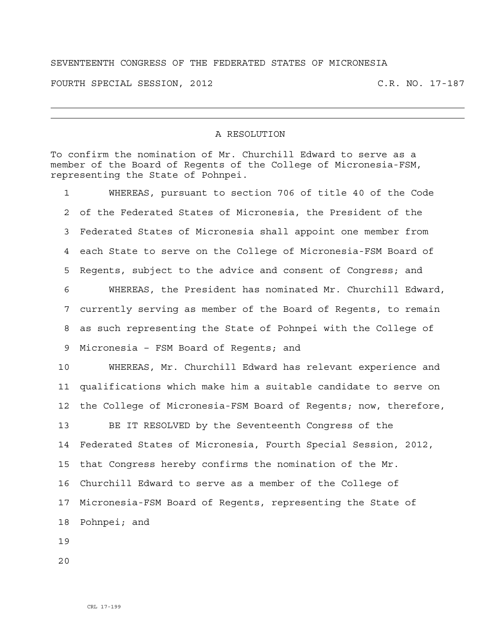## SEVENTEENTH CONGRESS OF THE FEDERATED STATES OF MICRONESIA

FOURTH SPECIAL SESSION, 2012 C.R. NO. 17-187

## A RESOLUTION

To confirm the nomination of Mr. Churchill Edward to serve as a member of the Board of Regents of the College of Micronesia-FSM, representing the State of Pohnpei.

1 WHEREAS, pursuant to section 706 of title 40 of the Code 2 of the Federated States of Micronesia, the President of the 3 Federated States of Micronesia shall appoint one member from 4 each State to serve on the College of Micronesia-FSM Board of 5 Regents, subject to the advice and consent of Congress; and 6 WHEREAS, the President has nominated Mr. Churchill Edward, 7 currently serving as member of the Board of Regents, to remain 8 as such representing the State of Pohnpei with the College of 9 Micronesia – FSM Board of Regents; and 10 WHEREAS, Mr. Churchill Edward has relevant experience and 11 qualifications which make him a suitable candidate to serve on 12 the College of Micronesia-FSM Board of Regents; now, therefore, 13 BE IT RESOLVED by the Seventeenth Congress of the 14 Federated States of Micronesia, Fourth Special Session, 2012, 15 that Congress hereby confirms the nomination of the Mr. 16 Churchill Edward to serve as a member of the College of 17 Micronesia-FSM Board of Regents, representing the State of 18 Pohnpei; and

19

20